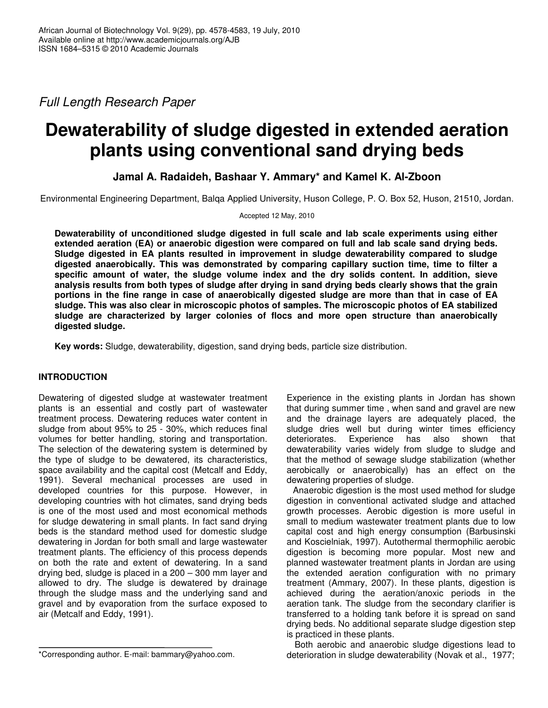*Full Length Research Paper*

# **Dewaterability of sludge digested in extended aeration plants using conventional sand drying beds**

**Jamal A. Radaideh, Bashaar Y. Ammary\* and Kamel K. Al-Zboon**

Environmental Engineering Department, Balqa Applied University, Huson College, P. O. Box 52, Huson, 21510, Jordan.

Accepted 12 May, 2010

**Dewaterability of unconditioned sludge digested in full scale and lab scale experiments using either extended aeration (EA) or anaerobic digestion were compared on full and lab scale sand drying beds. Sludge digested in EA plants resulted in improvement in sludge dewaterability compared to sludge digested anaerobically. This was demonstrated by comparing capillary suction time, time to filter a specific amount of water, the sludge volume index and the dry solids content. In addition, sieve** analysis results from both types of sludge after drying in sand drying beds clearly shows that the grain portions in the fine range in case of anaerobically digested sludge are more than that in case of EA **sludge. This was also clear in microscopic photos of samples. The microscopic photos of EA stabilized sludge are characterized by larger colonies of flocs and more open structure than anaerobically digested sludge.**

**Key words:** Sludge, dewaterability, digestion, sand drying beds, particle size distribution.

# **INTRODUCTION**

Dewatering of digested sludge at wastewater treatment plants is an essential and costly part of wastewater treatment process. Dewatering reduces water content in sludge from about 95% to 25 - 30%, which reduces final volumes for better handling, storing and transportation. The selection of the dewatering system is determined by the type of sludge to be dewatered, its characteristics, space availability and the capital cost (Metcalf and Eddy, 1991). Several mechanical processes are used in developed countries for this purpose. However, in developing countries with hot climates, sand drying beds is one of the most used and most economical methods for sludge dewatering in small plants. In fact sand drying beds is the standard method used for domestic sludge dewatering in Jordan for both small and large wastewater treatment plants. The efficiency of this process depends on both the rate and extent of dewatering. In a sand drying bed, sludge is placed in a 200 – 300 mm layer and allowed to dry. The sludge is dewatered by drainage through the sludge mass and the underlying sand and gravel and by evaporation from the surface exposed to air (Metcalf and Eddy, 1991).

Experience in the existing plants in Jordan has shown that during summer time , when sand and gravel are new and the drainage layers are adequately placed, the sludge dries well but during winter times efficiency deteriorates. Experience has also shown that dewaterability varies widely from sludge to sludge and that the method of sewage sludge stabilization (whether aerobically or anaerobically) has an effect on the dewatering properties of sludge.

Anaerobic digestion is the most used method for sludge digestion in conventional activated sludge and attached growth processes. Aerobic digestion is more useful in small to medium wastewater treatment plants due to low capital cost and high energy consumption (Barbusinski and Koscielniak, 1997). Autothermal thermophilic aerobic digestion is becoming more popular. Most new and planned wastewater treatment plants in Jordan are using the extended aeration configuration with no primary treatment (Ammary, 2007). In these plants, digestion is achieved during the aeration/anoxic periods in the aeration tank. The sludge from the secondary clarifier is transferred to a holding tank before it is spread on sand drying beds. No additional separate sludge digestion step is practiced in these plants.

Both aerobic and anaerobic sludge digestions lead to deterioration in sludge dewaterability (Novak et al., 1977;

<sup>\*</sup>Corresponding author. E-mail: bammary@yahoo.com.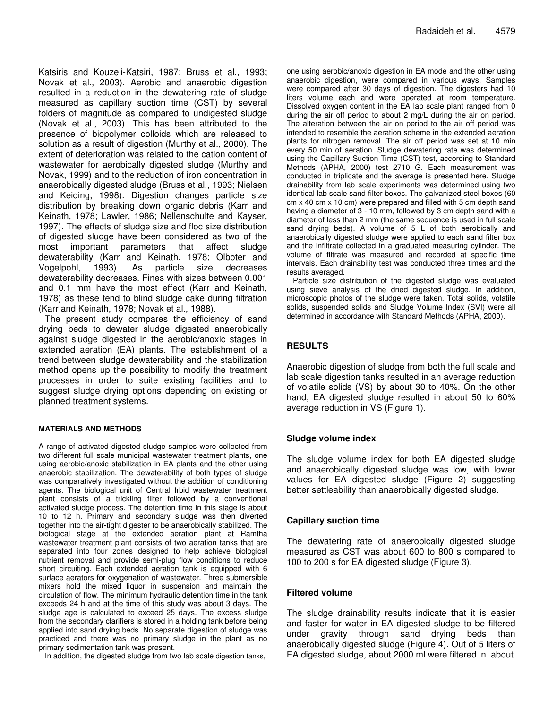Katsiris and Kouzeli-Katsiri, 1987; Bruss et al., 1993; Novak et al., 2003). Aerobic and anaerobic digestion resulted in a reduction in the dewatering rate of sludge measured as capillary suction time (CST) by several folders of magnitude as compared to undigested sludge (Novak et al., 2003). This has been attributed to the presence of biopolymer colloids which are released to solution as a result of digestion (Murthy et al., 2000). The extent of deterioration was related to the cation content of wastewater for aerobically digested sludge (Murthy and Novak, 1999) and to the reduction of iron concentration in anaerobically digested sludge (Bruss et al., 1993; Nielsen and Keiding, 1998). Digestion changes particle size distribution by breaking down organic debris (Karr and Keinath, 1978; Lawler, 1986; Nellenschulte and Kayser, 1997). The effects of sludge size and floc size distribution of digested sludge have been considered as two of the most important parameters that affect sludge dewaterability (Karr and Keinath, 1978; Olboter and Vogelpohl, 1993). As particle size decreases dewaterability decreases. Fines with sizes between 0.001 and 0.1 mm have the most effect (Karr and Keinath, 1978) as these tend to blind sludge cake during filtration (Karr and Keinath, 1978; Novak et al., 1988).

The present study compares the efficiency of sand drying beds to dewater sludge digested anaerobically against sludge digested in the aerobic/anoxic stages in extended aeration (EA) plants. The establishment of a trend between sludge dewaterability and the stabilization method opens up the possibility to modify the treatment processes in order to suite existing facilities and to suggest sludge drying options depending on existing or planned treatment systems.

#### **MATERIALS AND METHODS**

A range of activated digested sludge samples were collected from two different full scale municipal wastewater treatment plants, one using aerobic/anoxic stabilization in EA plants and the other using anaerobic stabilization. The dewaterability of both types of sludge was comparatively investigated without the addition of conditioning agents. The biological unit of Central Irbid wastewater treatment plant consists of a trickling filter followed by a conventional activated sludge process. The detention time in this stage is about 10 to 12 h. Primary and secondary sludge was then diverted together into the air-tight digester to be anaerobically stabilized. The biological stage at the extended aeration plant at Ramtha wastewater treatment plant consists of two aeration tanks that are separated into four zones designed to help achieve biological nutrient removal and provide semi-plug flow conditions to reduce short circuiting. Each extended aeration tank is equipped with 6 surface aerators for oxygenation of wastewater. Three submersible mixers hold the mixed liquor in suspension and maintain the circulation of flow. The minimum hydraulic detention time in the tank exceeds 24 h and at the time of this study was about 3 days. The sludge age is calculated to exceed 25 days. The excess sludge from the secondary clarifiers is stored in a holding tank before being applied into sand drying beds. No separate digestion of sludge was practiced and there was no primary sludge in the plant as no primary sedimentation tank was present.

In addition, the digested sludge from two lab scale digestion tanks,

one using aerobic/anoxic digestion in EA mode and the other using anaerobic digestion, were compared in various ways. Samples were compared after 30 days of digestion. The digesters had 10 liters volume each and were operated at room temperature. Dissolved oxygen content in the EA lab scale plant ranged from 0 during the air off period to about 2 mg/L during the air on period. The alteration between the air on period to the air off period was intended to resemble the aeration scheme in the extended aeration plants for nitrogen removal. The air off period was set at 10 min every 50 min of aeration. Sludge dewatering rate was determined using the Capillary Suction Time (CST) test, according to Standard Methods (APHA, 2000) test 2710 G. Each measurement was conducted in triplicate and the average is presented here. Sludge drainability from lab scale experiments was determined using two identical lab scale sand filter boxes. The galvanized steel boxes (60 cm x 40 cm x 10 cm) were prepared and filled with 5 cm depth sand having a diameter of 3 - 10 mm, followed by 3 cm depth sand with a diameter of less than 2 mm (the same sequence is used in full scale sand drying beds). A volume of 5 L of both aerobically and anaerobically digested sludge were applied to each sand filter box and the infiltrate collected in a graduated measuring cylinder. The volume of filtrate was measured and recorded at specific time intervals. Each drainability test was conducted three times and the results averaged.

Particle size distribution of the digested sludge was evaluated using sieve analysis of the dried digested sludge. In addition, microscopic photos of the sludge were taken. Total solids, volatile solids, suspended solids and Sludge Volume Index (SVI) were all determined in accordance with Standard Methods (APHA, 2000).

## **RESULTS**

Anaerobic digestion of sludge from both the full scale and lab scale digestion tanks resulted in an average reduction of volatile solids (VS) by about 30 to 40%. On the other hand, EA digested sludge resulted in about 50 to 60% average reduction in VS (Figure 1).

#### **Sludge volume index**

The sludge volume index for both EA digested sludge and anaerobically digested sludge was low, with lower values for EA digested sludge (Figure 2) suggesting better settleability than anaerobically digested sludge.

#### **Capillary suction time**

The dewatering rate of anaerobically digested sludge measured as CST was about 600 to 800 s compared to 100 to 200 s for EA digested sludge (Figure 3).

#### **Filtered volume**

The sludge drainability results indicate that it is easier and faster for water in EA digested sludge to be filtered under gravity through sand drying beds than anaerobically digested sludge (Figure 4). Out of 5 liters of EA digested sludge, about 2000 ml were filtered in about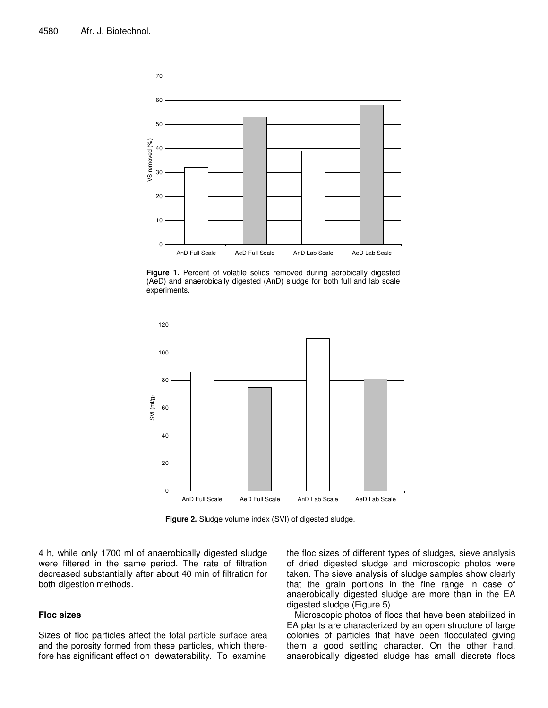

**Figure 1.** Percent of volatile solids removed during aerobically digested (AeD) and anaerobically digested (AnD) sludge for both full and lab scale experiments.



**Figure 2.** Sludge volume index (SVI) of digested sludge.

4 h, while only 1700 ml of anaerobically digested sludge were filtered in the same period. The rate of filtration decreased substantially after about 40 min of filtration for both digestion methods.

#### **Floc sizes**

Sizes of floc particles affect the total particle surface area and the porosity formed from these particles, which therefore has significant effect on dewaterability. To examine

the floc sizes of different types of sludges, sieve analysis of dried digested sludge and microscopic photos were taken. The sieve analysis of sludge samples show clearly that the grain portions in the fine range in case of anaerobically digested sludge are more than in the EA digested sludge (Figure 5).

Microscopic photos of flocs that have been stabilized in EA plants are characterized by an open structure of large colonies of particles that have been flocculated giving them a good settling character. On the other hand, anaerobically digested sludge has small discrete flocs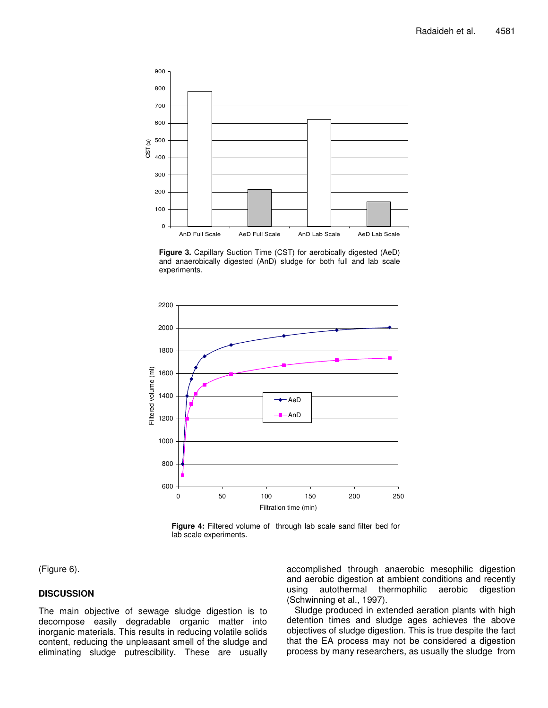

**Figure 3.** Capillary Suction Time (CST) for aerobically digested (AeD) and anaerobically digested (AnD) sludge for both full and lab scale experiments.



**Figure 4:** Filtered volume of through lab scale sand filter bed for lab scale experiments.

(Figure 6).

## **DISCUSSION**

The main objective of sewage sludge digestion is to decompose easily degradable organic matter into inorganic materials. This results in reducing volatile solids content, reducing the unpleasant smell of the sludge and eliminating sludge putrescibility. These are usually accomplished through anaerobic mesophilic digestion and aerobic digestion at ambient conditions and recently using autothermal thermophilic aerobic digestion (Schwinning et al., 1997).

Sludge produced in extended aeration plants with high detention times and sludge ages achieves the above objectives of sludge digestion. This is true despite the fact that the EA process may not be considered a digestion process by many researchers, as usually the sludge from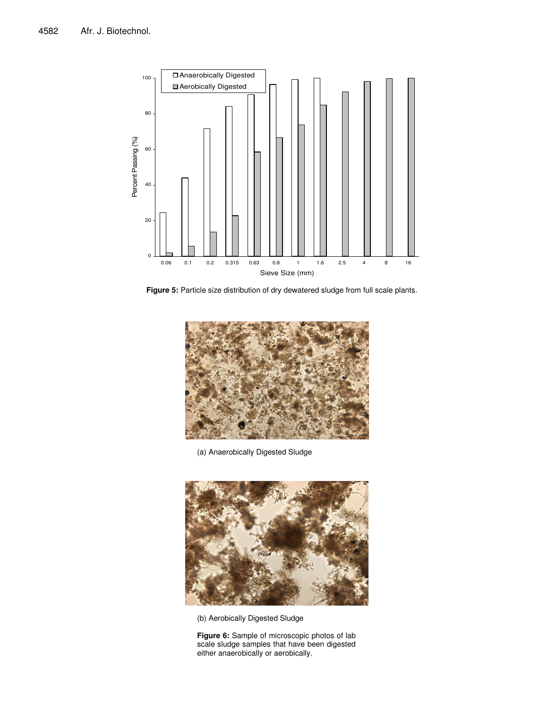

**Figure 5:** Particle size distribution of dry dewatered sludge from full scale plants.



(a) Anaerobically Digested Sludge



(b) Aerobically Digested Sludge

**Figure 6:** Sample of microscopic photos of lab scale sludge samples that have been digested either anaerobically or aerobically.